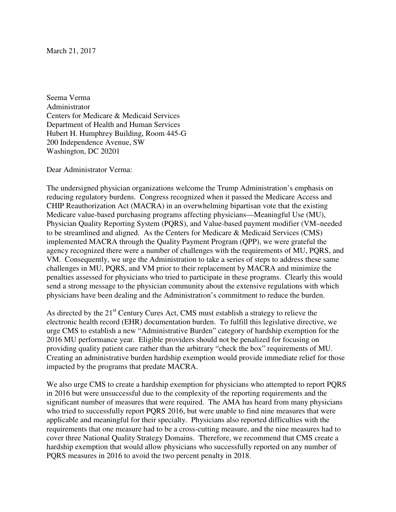Seema Verma Administrator Centers for Medicare & Medicaid Services Department of Health and Human Services Hubert H. Humphrey Building, Room 445-G 200 Independence Avenue, SW Washington, DC 20201

Dear Administrator Verma:

The undersigned physician organizations welcome the Trump Administration's emphasis on reducing regulatory burdens. Congress recognized when it passed the Medicare Access and CHIP Reauthorization Act (MACRA) in an overwhelming bipartisan vote that the existing Medicare value-based purchasing programs affecting physicians—Meaningful Use (MU), Physician Quality Reporting System (PQRS), and Value-based payment modifier (VM–needed to be streamlined and aligned. As the Centers for Medicare & Medicaid Services (CMS) implemented MACRA through the Quality Payment Program (QPP), we were grateful the agency recognized there were a number of challenges with the requirements of MU, PQRS, and VM. Consequently, we urge the Administration to take a series of steps to address these same challenges in MU, PQRS, and VM prior to their replacement by MACRA and minimize the penalties assessed for physicians who tried to participate in these programs. Clearly this would send a strong message to the physician community about the extensive regulations with which physicians have been dealing and the Administration's commitment to reduce the burden.

As directed by the 21<sup>st</sup> Century Cures Act, CMS must establish a strategy to relieve the electronic health record (EHR) documentation burden. To fulfill this legislative directive, we urge CMS to establish a new "Administrative Burden" category of hardship exemption for the 2016 MU performance year. Eligible providers should not be penalized for focusing on providing quality patient care rather than the arbitrary "check the box" requirements of MU. Creating an administrative burden hardship exemption would provide immediate relief for those impacted by the programs that predate MACRA.

We also urge CMS to create a hardship exemption for physicians who attempted to report PQRS in 2016 but were unsuccessful due to the complexity of the reporting requirements and the significant number of measures that were required. The AMA has heard from many physicians who tried to successfully report PQRS 2016, but were unable to find nine measures that were applicable and meaningful for their specialty. Physicians also reported difficulties with the requirements that one measure had to be a cross-cutting measure, and the nine measures had to cover three National Quality Strategy Domains. Therefore, we recommend that CMS create a hardship exemption that would allow physicians who successfully reported on any number of PQRS measures in 2016 to avoid the two percent penalty in 2018.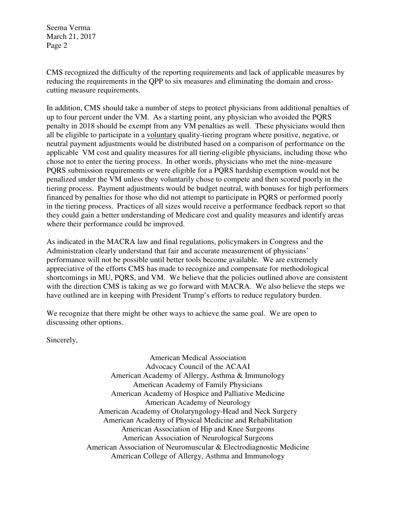Seema Verma March 21, 2017 Page 2

CMS recognized the difficulty of the reporting requirements and lack of applicable measures by reducing the requirements in the QPP to six measures and eliminating the domain and crosscutting measure requirements.

In addition, CMS should take a number of steps to protect physicians from additional penalties of up to four percent under the VM. As a starting point, any physician who avoided the PQRS penalty in 2018 should be exempt from any VM penalties as well. These physicians would then all be eligible to participate in a voluntary quality-tiering program where positive, negative, or neutral payment adjustments would be distributed based on a comparison of performance on the applicable VM cost and quality measures for all tiering-eligible physicians, including those who chose not to enter the tiering process. In other words, physicians who met the nine-measure PQRS submission requirements or were eligible for a PQRS hardship exemption would not be penalized under the VM unless they voluntarily chose to compete and then scored poorly in the tiering process. Payment adjustments would be budget neutral, with bonuses for high performers financed by penalties for those who did not attempt to participate in PQRS or performed poorly in the tiering process. Practices of all sizes would receive a performance feedback report so that they could gain a better understanding of Medicare cost and quality measures and identify areas where their performance could be improved.

As indicated in the MACRA law and final regulations, policymakers in Congress and the Administration clearly understand that fair and accurate measurement of physicians' performance will not be possible until better tools become available. We are extremely appreciative of the efforts CMS has made to recognize and compensate for methodological shortcomings in MU, PQRS, and VM. We believe that the policies outlined above are consistent with the direction CMS is taking as we go forward with MACRA. We also believe the steps we have outlined are in keeping with President Trump's efforts to reduce regulatory burden.

We recognize that there might be other ways to achieve the same goal. We are open to discussing other options.

Sincerely,

American Medical Association Advocacy Council of the ACAAI American Academy of Allergy, Asthma & Immunology American Academy of Family Physicians American Academy of Hospice and Palliative Medicine American Academy of Neurology American Academy of Otolaryngology-Head and Neck Surgery American Academy of Physical Medicine and Rehabilitation American Association of Hip and Knee Surgeons American Association of Neurological Surgeons American Association of Neuromuscular & Electrodiagnostic Medicine American College of Allergy, Asthma and Immunology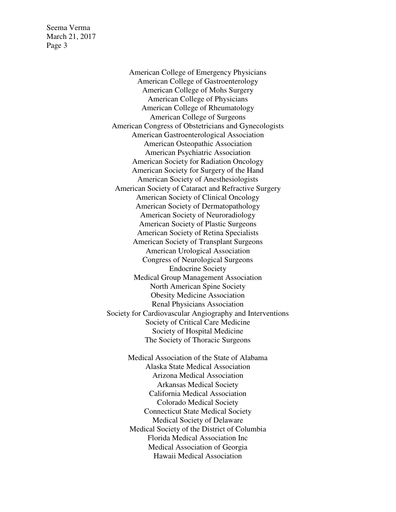Seema Verma March 21, 2017 Page 3

> American College of Emergency Physicians American College of Gastroenterology American College of Mohs Surgery American College of Physicians American College of Rheumatology American College of Surgeons American Congress of Obstetricians and Gynecologists American Gastroenterological Association American Osteopathic Association American Psychiatric Association American Society for Radiation Oncology American Society for Surgery of the Hand American Society of Anesthesiologists American Society of Cataract and Refractive Surgery American Society of Clinical Oncology American Society of Dermatopathology American Society of Neuroradiology American Society of Plastic Surgeons American Society of Retina Specialists American Society of Transplant Surgeons American Urological Association Congress of Neurological Surgeons Endocrine Society Medical Group Management Association North American Spine Society Obesity Medicine Association Renal Physicians Association Society for Cardiovascular Angiography and Interventions Society of Critical Care Medicine Society of Hospital Medicine The Society of Thoracic Surgeons

> > Medical Association of the State of Alabama Alaska State Medical Association Arizona Medical Association Arkansas Medical Society California Medical Association Colorado Medical Society Connecticut State Medical Society Medical Society of Delaware Medical Society of the District of Columbia Florida Medical Association Inc Medical Association of Georgia Hawaii Medical Association